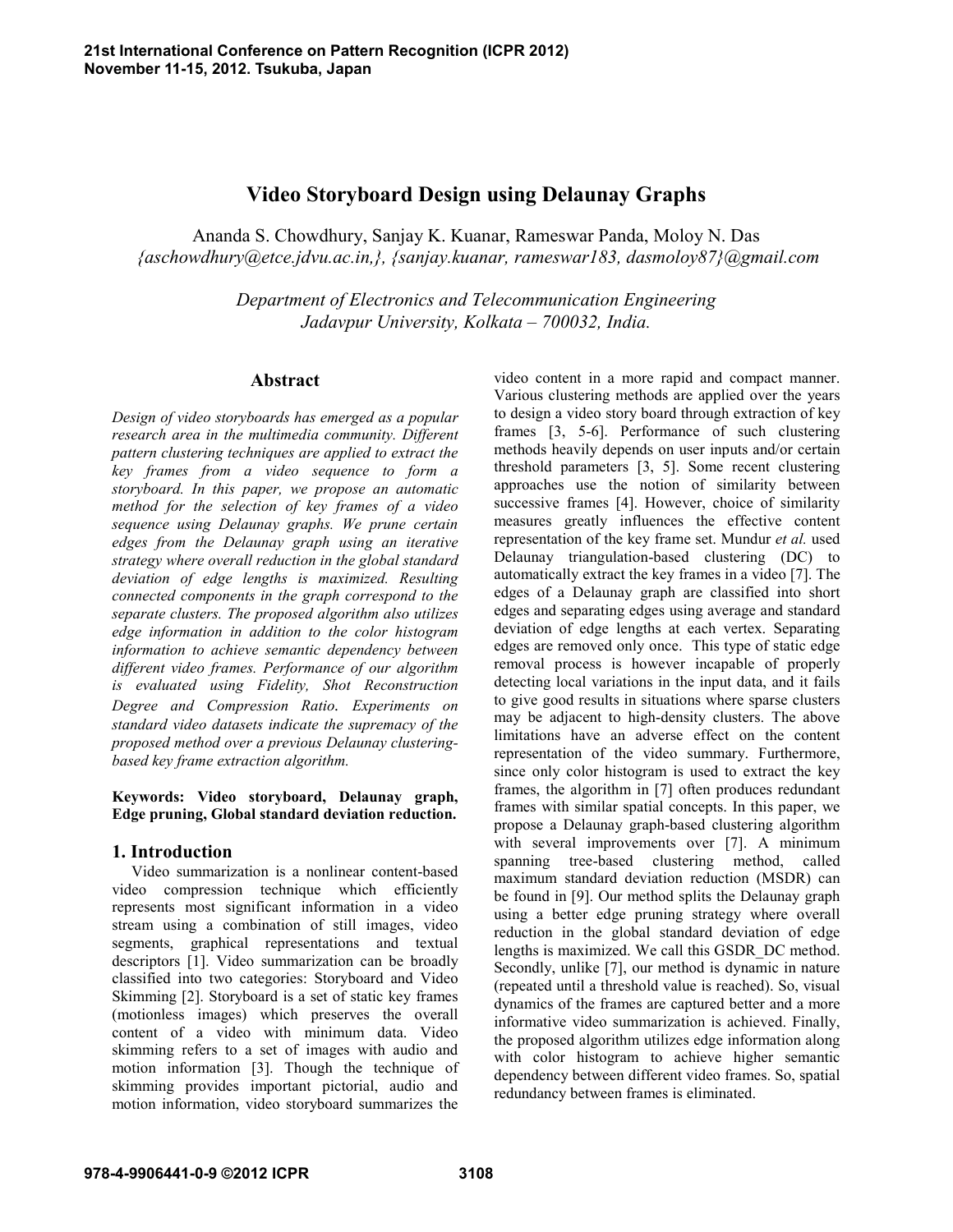# **Video Storyboard Design using Delaunay Graphs**

Ananda S. Chowdhury, Sanjay K. Kuanar, Rameswar Panda, Moloy N. Das  *{aschowdhury@etce.jdvu.ac.in,}, {sanjay.kuanar, rameswar183, dasmoloy87}@gmail.com* 

> *Department of Electronics and Telecommunication Engineering Jadavpur University, Kolkata – 700032, India.*

## **Abstract**

*Design of video storyboards has emerged as a popular research area in the multimedia community. Different pattern clustering techniques are applied to extract the key frames from a video sequence to form a storyboard. In this paper, we propose an automatic method for the selection of key frames of a video sequence using Delaunay graphs. We prune certain edges from the Delaunay graph using an iterative strategy where overall reduction in the global standard deviation of edge lengths is maximized. Resulting connected components in the graph correspond to the separate clusters. The proposed algorithm also utilizes edge information in addition to the color histogram information to achieve semantic dependency between different video frames. Performance of our algorithm is evaluated using Fidelity, Shot Reconstruction Degree and Compression Ratio. Experiments on standard video datasets indicate the supremacy of the proposed method over a previous Delaunay clusteringbased key frame extraction algorithm.* 

**Keywords: Video storyboard, Delaunay graph, Edge pruning, Global standard deviation reduction.** 

## **1. Introduction**

 Video summarization is a nonlinear content-based video compression technique which efficiently represents most significant information in a video stream using a combination of still images, video segments, graphical representations and textual descriptors [1]. Video summarization can be broadly classified into two categories: Storyboard and Video Skimming [2]. Storyboard is a set of static key frames (motionless images) which preserves the overall content of a video with minimum data. Video skimming refers to a set of images with audio and motion information [3]. Though the technique of skimming provides important pictorial, audio and motion information, video storyboard summarizes the

video content in a more rapid and compact manner. Various clustering methods are applied over the years to design a video story board through extraction of key frames [3, 5-6]. Performance of such clustering methods heavily depends on user inputs and/or certain threshold parameters [3, 5]. Some recent clustering approaches use the notion of similarity between successive frames [4]. However, choice of similarity measures greatly influences the effective content representation of the key frame set. Mundur *et al.* used Delaunay triangulation-based clustering (DC) to automatically extract the key frames in a video [7]. The edges of a Delaunay graph are classified into short edges and separating edges using average and standard deviation of edge lengths at each vertex. Separating edges are removed only once. This type of static edge removal process is however incapable of properly detecting local variations in the input data, and it fails to give good results in situations where sparse clusters may be adjacent to high-density clusters. The above limitations have an adverse effect on the content representation of the video summary. Furthermore, since only color histogram is used to extract the key frames, the algorithm in [7] often produces redundant frames with similar spatial concepts. In this paper, we propose a Delaunay graph-based clustering algorithm with several improvements over [7]. A minimum spanning tree-based clustering method, called maximum standard deviation reduction (MSDR) can be found in [9]. Our method splits the Delaunay graph using a better edge pruning strategy where overall reduction in the global standard deviation of edge lengths is maximized. We call this GSDR\_DC method. Secondly, unlike [7], our method is dynamic in nature (repeated until a threshold value is reached). So, visual dynamics of the frames are captured better and a more informative video summarization is achieved. Finally, the proposed algorithm utilizes edge information along with color histogram to achieve higher semantic dependency between different video frames. So, spatial redundancy between frames is eliminated.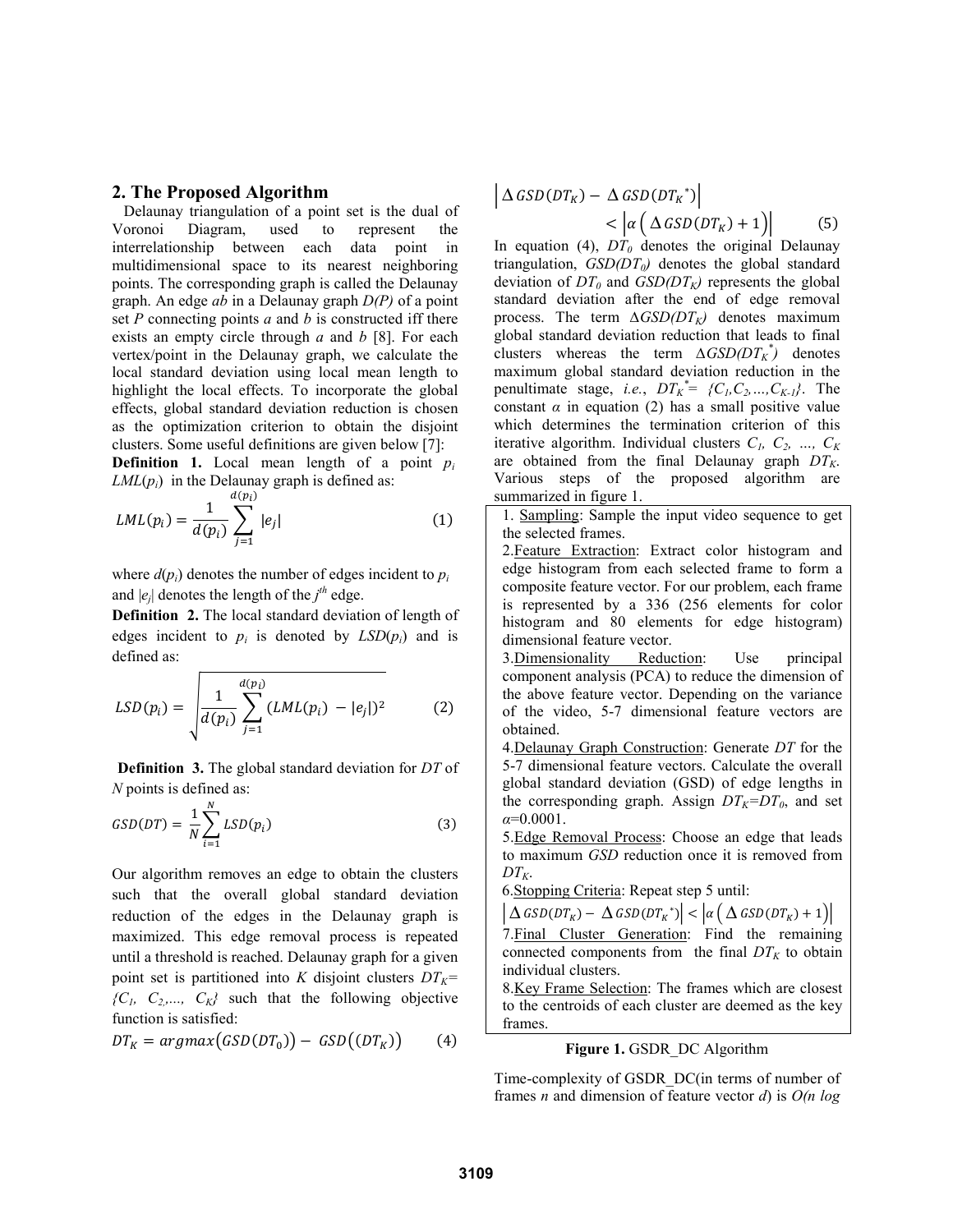### **2. The Proposed Algorithm**

 Delaunay triangulation of a point set is the dual of Voronoi Diagram, used to represent the interrelationship between each data point in multidimensional space to its nearest neighboring points. The corresponding graph is called the Delaunay graph. An edge *ab* in a Delaunay graph *D(P)* of a point set *P* connecting points *a* and *b* is constructed iff there exists an empty circle through *a* and *b* [8]. For each vertex/point in the Delaunay graph, we calculate the local standard deviation using local mean length to highlight the local effects. To incorporate the global effects, global standard deviation reduction is chosen as the optimization criterion to obtain the disjoint clusters. Some useful definitions are given below [7]:

**Definition 1.** Local mean length of a point *pi*  $LML(p_i)$  in the Delaunay graph is defined as:

$$
LML(p_i) = \frac{1}{d(p_i)} \sum_{j=1}^{d(p_i)} |e_j|
$$
 (1)

where  $d(p_i)$  denotes the number of edges incident to  $p_i$ and  $|e_j|$  denotes the length of the  $j<sup>th</sup>$  edge.

**Definition 2.** The local standard deviation of length of edges incident to  $p_i$  is denoted by  $LSD(p_i)$  and is defined as:

$$
LSD(p_i) = \sqrt{\frac{1}{d(p_i)} \sum_{j=1}^{d(p_i)} (LML(p_i) - |e_j|)^2}
$$
 (2)

 **Definition 3.** The global standard deviation for *DT* of *N* points is defined as:

$$
GSD(DT) = \frac{1}{N} \sum_{i=1}^{N} LSD(p_i)
$$
\n(3)

Our algorithm removes an edge to obtain the clusters such that the overall global standard deviation reduction of the edges in the Delaunay graph is maximized. This edge removal process is repeated until a threshold is reached. Delaunay graph for a given point set is partitioned into *K* disjoint clusters  $DT_K=$  ${C_1, C_2,..., C_K}$  such that the following objective function is satisfied:

$$
DT_K = argmax(GSD(DT_0)) - GSD((DT_K)) \qquad (4)
$$

$$
\begin{aligned} \left| \Delta \, GSD(DT_K) - \Delta \, GSD(DT_K^*) \right| \\ &< \left| \alpha \left( \Delta \, GSD(DT_K) + 1 \right) \right| \end{aligned} \tag{5}
$$

In equation (4),  $DT_0$  denotes the original Delaunay triangulation, *GSD(DT<sub>0</sub>)* denotes the global standard deviation of  $DT_0$  and  $GSD(DT_K)$  represents the global standard deviation after the end of edge removal process. The term  $\Delta GSD(DT_K)$  denotes maximum global standard deviation reduction that leads to final clusters whereas the term  $\Delta GSD(DT_K^*)$  denotes maximum global standard deviation reduction in the penultimate stage, *i.e.*,  $DT_K^* = \{C_1, C_2, ..., C_{K-L}\}$ . The constant  $\alpha$  in equation (2) has a small positive value which determines the termination criterion of this iterative algorithm. Individual clusters  $C_1$ ,  $C_2$ , ...,  $C_K$ are obtained from the final Delaunay graph  $DT_K$ . Various steps of the proposed algorithm are summarized in figure 1.

1. Sampling: Sample the input video sequence to get the selected frames.

2. Feature Extraction: Extract color histogram and edge histogram from each selected frame to form a composite feature vector. For our problem, each frame is represented by a 336 (256 elements for color histogram and 80 elements for edge histogram) dimensional feature vector.

3.Dimensionality Reduction: Use principal component analysis (PCA) to reduce the dimension of the above feature vector. Depending on the variance of the video, 5-7 dimensional feature vectors are obtained.

4.Delaunay Graph Construction: Generate *DT* for the 5-7 dimensional feature vectors. Calculate the overall global standard deviation (GSD) of edge lengths in the corresponding graph. Assign  $DT_K=DT_0$ , and set *α*=0.0001.

5.Edge Removal Process: Choose an edge that leads to maximum *GSD* reduction once it is removed from  $DT_{K}$ .

6.Stopping Criteria: Repeat step 5 until:

 $\left| \Delta$  GSD(DT<sub>K</sub>) –  $\Delta$  GSD(DT<sub>K</sub><sup>\*</sup>)  $\left| \alpha \left( \Delta$  GSD(DT<sub>K</sub>) + 1)

7.Final Cluster Generation: Find the remaining connected components from the final  $DT<sub>K</sub>$  to obtain individual clusters.

8.Key Frame Selection: The frames which are closest to the centroids of each cluster are deemed as the key frames.

### **Figure 1.** GSDR\_DC Algorithm

Time-complexity of GSDR\_DC(in terms of number of frames *n* and dimension of feature vector *d*) is *O(n log*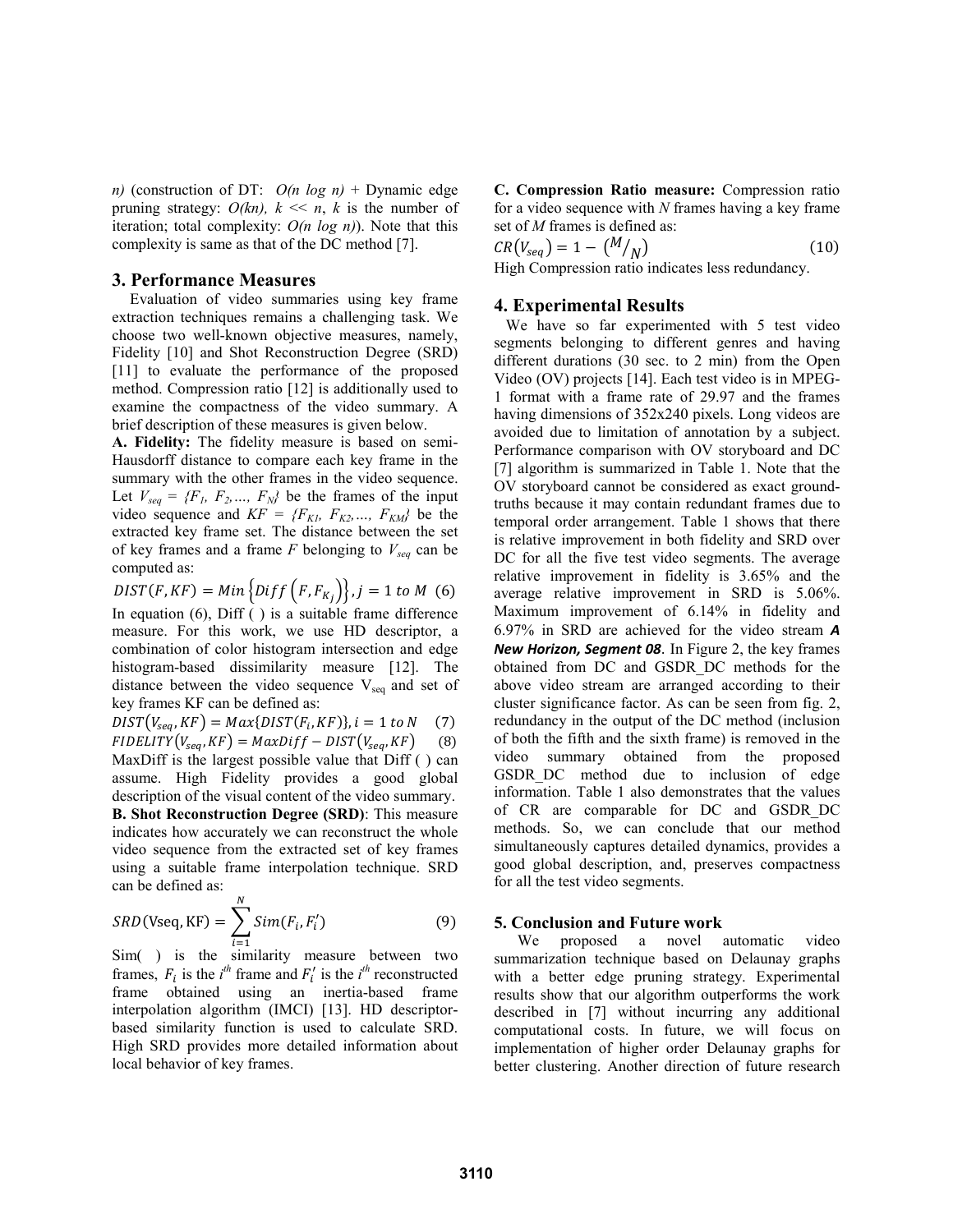*n)* (construction of DT: *O(n log n)* + Dynamic edge pruning strategy:  $O(kn)$ ,  $k \ll n$ ,  $k$  is the number of iteration; total complexity: *O(n log n)*). Note that this complexity is same as that of the DC method [7].

#### **3. Performance Measures**

Evaluation of video summaries using key frame extraction techniques remains a challenging task. We choose two well-known objective measures, namely, Fidelity [10] and Shot Reconstruction Degree (SRD) [11] to evaluate the performance of the proposed method. Compression ratio [12] is additionally used to examine the compactness of the video summary. A brief description of these measures is given below.

**A. Fidelity:** The fidelity measure is based on semi-Hausdorff distance to compare each key frame in the summary with the other frames in the video sequence. Let  $V_{seq} = \{F_1, F_2, \ldots, F_N\}$  be the frames of the input video sequence and  $KF = \{F_{KL}, F_{K2}, \ldots, F_{KM}\}$  be the extracted key frame set. The distance between the set of key frames and a frame  $F$  belonging to  $V_{seq}$  can be computed as:

**DIST**(F, KF) = Min {Diff (F, F<sub>K<sub>j</sub></sub>)}, 
$$
j = 1
$$
 to M (6)  
In equation (6), Diff ( ) is a suitable frame difference  
measure. For this work, we use HD descriptor, a  
combination of color histogram intersection and edge  
histogram-based dissimilarity measure [12]. The  
distance between the video sequence  $V_{seq}$  and set of  
key frames KF can be defined as:

 $DIST(V_{seq}, KF) = Max\{DIST(F_i, KF)\}, i = 1 \text{ to } N$  (7)  $FIDELITY(V<sub>sea</sub>, KF) = MaxDiff - DIST(V<sub>sea</sub>, KF)$  (8) MaxDiff is the largest possible value that Diff ( ) can assume. High Fidelity provides a good global description of the visual content of the video summary. **B. Shot Reconstruction Degree (SRD)**: This measure indicates how accurately we can reconstruct the whole video sequence from the extracted set of key frames using a suitable frame interpolation technique. SRD can be defined as:

$$
SRD(\text{Vseq}, \text{KF}) = \sum_{i=1}^{N} Sim(F_i, F'_i)
$$
 (9)

Sim( ) is the similarity measure between two frames,  $F_i$  is the *i*<sup>th</sup> frame and  $F'_i$  is the *i*<sup>th</sup> reconstructed frame obtained using an inertia-based frame interpolation algorithm (IMCI) [13]. HD descriptorbased similarity function is used to calculate SRD. High SRD provides more detailed information about local behavior of key frames.

**C. Compression Ratio measure:** Compression ratio for a video sequence with *N* frames having a key frame set of *M* frames is defined as:

$$
CR(V_{seq}) = 1 - \binom{M}{N}
$$
  
High Compression ratio indicates less redundancy. (10)

# **4. Experimental Results**

 We have so far experimented with 5 test video segments belonging to different genres and having different durations (30 sec. to 2 min) from the Open Video (OV) projects [14]. Each test video is in MPEG-1 format with a frame rate of 29.97 and the frames having dimensions of 352x240 pixels. Long videos are avoided due to limitation of annotation by a subject. Performance comparison with OV storyboard and DC [7] algorithm is summarized in Table 1. Note that the OV storyboard cannot be considered as exact groundtruths because it may contain redundant frames due to temporal order arrangement. Table 1 shows that there is relative improvement in both fidelity and SRD over DC for all the five test video segments. The average relative improvement in fidelity is 3.65% and the average relative improvement in SRD is 5.06%. Maximum improvement of 6.14% in fidelity and 6.97% in SRD are achieved for the video stream *A New Horizon, Segment 08*. In Figure 2, the key frames obtained from DC and GSDR\_DC methods for the above video stream are arranged according to their cluster significance factor. As can be seen from fig. 2, redundancy in the output of the DC method (inclusion of both the fifth and the sixth frame) is removed in the video summary obtained from the proposed GSDR DC method due to inclusion of edge information. Table 1 also demonstrates that the values of CR are comparable for DC and GSDR\_DC methods. So, we can conclude that our method simultaneously captures detailed dynamics, provides a good global description, and, preserves compactness for all the test video segments.

#### **5. Conclusion and Future work**

 We proposed a novel automatic video summarization technique based on Delaunay graphs with a better edge pruning strategy. Experimental results show that our algorithm outperforms the work described in [7] without incurring any additional computational costs. In future, we will focus on implementation of higher order Delaunay graphs for better clustering. Another direction of future research